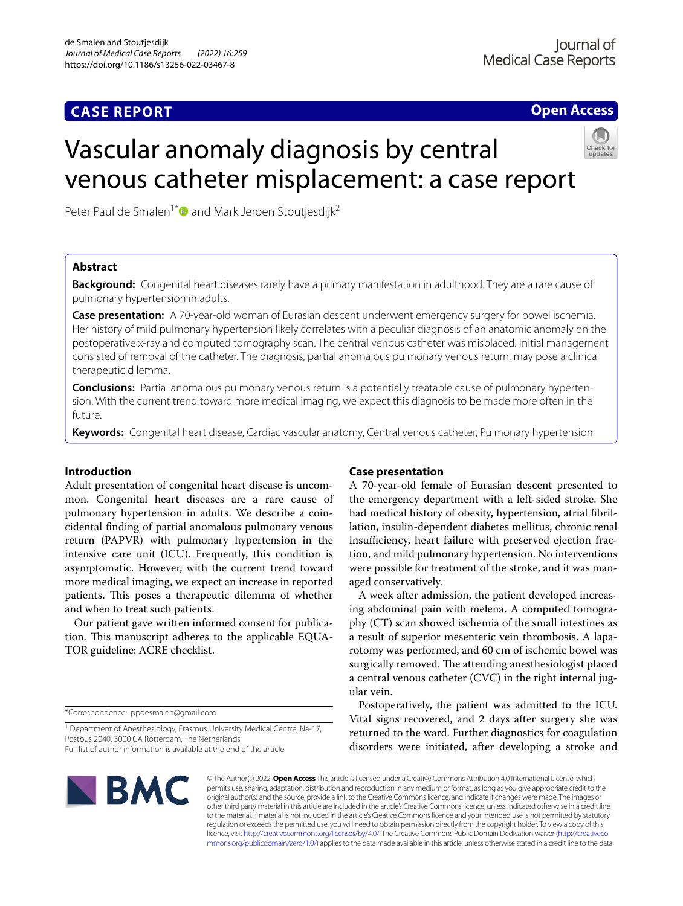## **CASE REPORT**

**Open Access**

# Vascular anomaly diagnosis by central venous catheter misplacement: a case report

Peter Paul de Smalen<sup>1\*</sup> and Mark Jeroen Stoutjesdijk<sup>2</sup>

## **Abstract**

**Background:** Congenital heart diseases rarely have a primary manifestation in adulthood. They are a rare cause of pulmonary hypertension in adults.

**Case presentation:** A 70-year-old woman of Eurasian descent underwent emergency surgery for bowel ischemia. Her history of mild pulmonary hypertension likely correlates with a peculiar diagnosis of an anatomic anomaly on the postoperative x-ray and computed tomography scan. The central venous catheter was misplaced. Initial management consisted of removal of the catheter. The diagnosis, partial anomalous pulmonary venous return, may pose a clinical therapeutic dilemma.

**Conclusions:** Partial anomalous pulmonary venous return is a potentially treatable cause of pulmonary hypertension. With the current trend toward more medical imaging, we expect this diagnosis to be made more often in the future.

**Keywords:** Congenital heart disease, Cardiac vascular anatomy, Central venous catheter, Pulmonary hypertension

## **Introduction**

Adult presentation of congenital heart disease is uncommon. Congenital heart diseases are a rare cause of pulmonary hypertension in adults. We describe a coincidental fnding of partial anomalous pulmonary venous return (PAPVR) with pulmonary hypertension in the intensive care unit (ICU). Frequently, this condition is asymptomatic. However, with the current trend toward more medical imaging, we expect an increase in reported patients. This poses a therapeutic dilemma of whether and when to treat such patients.

Our patient gave written informed consent for publication. This manuscript adheres to the applicable EQUA-TOR guideline: ACRE checklist.

\*Correspondence: ppdesmalen@gmail.com

<sup>1</sup> Department of Anesthesiology, Erasmus University Medical Centre, Na-17, Postbus 2040, 3000 CA Rotterdam, The Netherlands Full list of author information is available at the end of the article

## **Case presentation**

A 70-year-old female of Eurasian descent presented to the emergency department with a left-sided stroke. She had medical history of obesity, hypertension, atrial fbrillation, insulin-dependent diabetes mellitus, chronic renal insufficiency, heart failure with preserved ejection fraction, and mild pulmonary hypertension. No interventions were possible for treatment of the stroke, and it was managed conservatively.

A week after admission, the patient developed increasing abdominal pain with melena. A computed tomography (CT) scan showed ischemia of the small intestines as a result of superior mesenteric vein thrombosis. A laparotomy was performed, and 60 cm of ischemic bowel was surgically removed. The attending anesthesiologist placed a central venous catheter (CVC) in the right internal jugular vein.

Postoperatively, the patient was admitted to the ICU. Vital signs recovered, and 2 days after surgery she was returned to the ward. Further diagnostics for coagulation disorders were initiated, after developing a stroke and



© The Author(s) 2022. **Open Access** This article is licensed under a Creative Commons Attribution 4.0 International License, which permits use, sharing, adaptation, distribution and reproduction in any medium or format, as long as you give appropriate credit to the original author(s) and the source, provide a link to the Creative Commons licence, and indicate if changes were made. The images or other third party material in this article are included in the article's Creative Commons licence, unless indicated otherwise in a credit line to the material. If material is not included in the article's Creative Commons licence and your intended use is not permitted by statutory regulation or exceeds the permitted use, you will need to obtain permission directly from the copyright holder. To view a copy of this licence, visit [http://creativecommons.org/licenses/by/4.0/.](http://creativecommons.org/licenses/by/4.0/) The Creative Commons Public Domain Dedication waiver ([http://creativeco](http://creativecommons.org/publicdomain/zero/1.0/) [mmons.org/publicdomain/zero/1.0/](http://creativecommons.org/publicdomain/zero/1.0/)) applies to the data made available in this article, unless otherwise stated in a credit line to the data.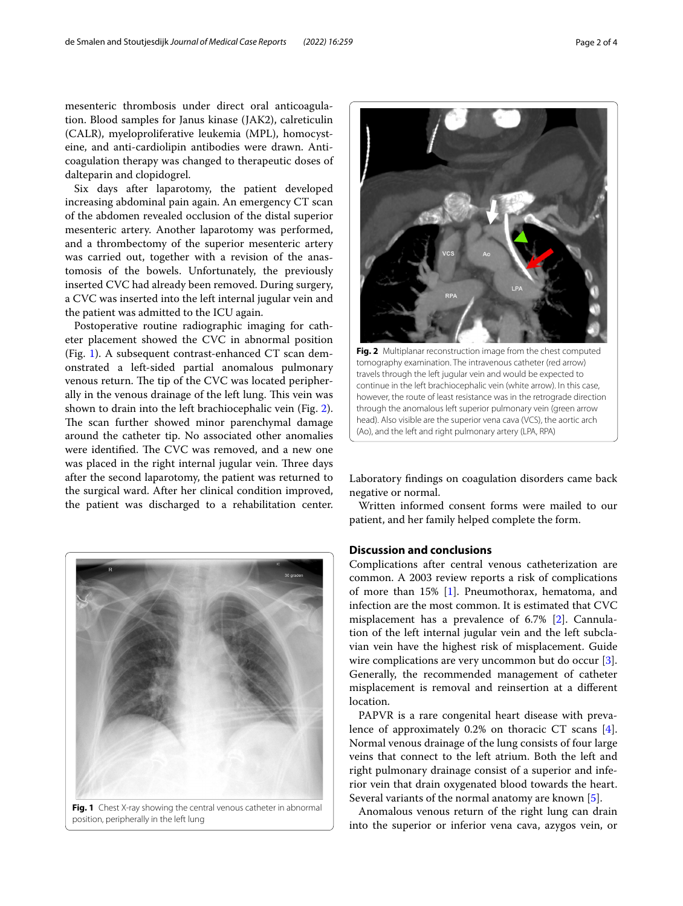mesenteric thrombosis under direct oral anticoagulation. Blood samples for Janus kinase (JAK2), calreticulin (CALR), myeloproliferative leukemia (MPL), homocysteine, and anti-cardiolipin antibodies were drawn. Anticoagulation therapy was changed to therapeutic doses of dalteparin and clopidogrel.

Six days after laparotomy, the patient developed increasing abdominal pain again. An emergency CT scan of the abdomen revealed occlusion of the distal superior mesenteric artery. Another laparotomy was performed, and a thrombectomy of the superior mesenteric artery was carried out, together with a revision of the anastomosis of the bowels. Unfortunately, the previously inserted CVC had already been removed. During surgery, a CVC was inserted into the left internal jugular vein and the patient was admitted to the ICU again.

Postoperative routine radiographic imaging for catheter placement showed the CVC in abnormal position (Fig. [1\)](#page-1-0). A subsequent contrast-enhanced CT scan demonstrated a left-sided partial anomalous pulmonary venous return. The tip of the CVC was located peripherally in the venous drainage of the left lung. This vein was shown to drain into the left brachiocephalic vein (Fig. [2](#page-1-1)). The scan further showed minor parenchymal damage around the catheter tip. No associated other anomalies were identified. The CVC was removed, and a new one was placed in the right internal jugular vein. Three days after the second laparotomy, the patient was returned to the surgical ward. After her clinical condition improved, the patient was discharged to a rehabilitation center.

<span id="page-1-0"></span>

position, peripherally in the left lung



<span id="page-1-1"></span>Laboratory fndings on coagulation disorders came back negative or normal.

Written informed consent forms were mailed to our patient, and her family helped complete the form.

## **Discussion and conclusions**

Complications after central venous catheterization are common. A 2003 review reports a risk of complications of more than 15% [\[1](#page-2-0)]. Pneumothorax, hematoma, and infection are the most common. It is estimated that CVC misplacement has a prevalence of 6.7% [\[2\]](#page-2-1). Cannulation of the left internal jugular vein and the left subclavian vein have the highest risk of misplacement. Guide wire complications are very uncommon but do occur [\[3](#page-2-2)]. Generally, the recommended management of catheter misplacement is removal and reinsertion at a diferent location.

PAPVR is a rare congenital heart disease with prevalence of approximately 0.2% on thoracic CT scans [\[4](#page-2-3)]. Normal venous drainage of the lung consists of four large veins that connect to the left atrium. Both the left and right pulmonary drainage consist of a superior and inferior vein that drain oxygenated blood towards the heart. Several variants of the normal anatomy are known [\[5](#page-2-4)].

Anomalous venous return of the right lung can drain into the superior or inferior vena cava, azygos vein, or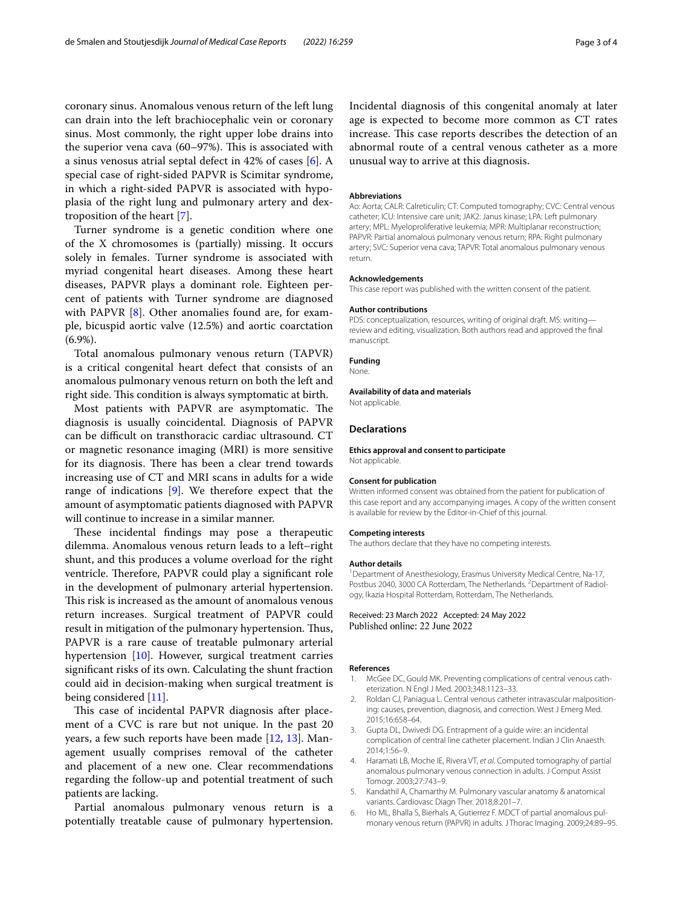coronary sinus. Anomalous venous return of the left lung can drain into the left brachiocephalic vein or coronary sinus. Most commonly, the right upper lobe drains into the superior vena cava  $(60-97%)$ . This is associated with a sinus venosus atrial septal defect in 42% of cases [\[6](#page-2-5)]. A special case of right-sided PAPVR is Scimitar syndrome, in which a right-sided PAPVR is associated with hypoplasia of the right lung and pulmonary artery and dextroposition of the heart [\[7](#page-3-0)].

Turner syndrome is a genetic condition where one of the X chromosomes is (partially) missing. It occurs solely in females. Turner syndrome is associated with myriad congenital heart diseases. Among these heart diseases, PAPVR plays a dominant role. Eighteen percent of patients with Turner syndrome are diagnosed with PAPVR [\[8](#page-3-1)]. Other anomalies found are, for example, bicuspid aortic valve (12.5%) and aortic coarctation (6.9%).

Total anomalous pulmonary venous return (TAPVR) is a critical congenital heart defect that consists of an anomalous pulmonary venous return on both the left and right side. This condition is always symptomatic at birth.

Most patients with PAPVR are asymptomatic. The diagnosis is usually coincidental. Diagnosis of PAPVR can be difficult on transthoracic cardiac ultrasound. CT or magnetic resonance imaging (MRI) is more sensitive for its diagnosis. There has been a clear trend towards increasing use of CT and MRI scans in adults for a wide range of indications [[9\]](#page-3-2). We therefore expect that the amount of asymptomatic patients diagnosed with PAPVR will continue to increase in a similar manner.

These incidental findings may pose a therapeutic dilemma. Anomalous venous return leads to a left–right shunt, and this produces a volume overload for the right ventricle. Therefore, PAPVR could play a significant role in the development of pulmonary arterial hypertension. This risk is increased as the amount of anomalous venous return increases. Surgical treatment of PAPVR could result in mitigation of the pulmonary hypertension. Thus, PAPVR is a rare cause of treatable pulmonary arterial hypertension [\[10](#page-3-3)]. However, surgical treatment carries signifcant risks of its own. Calculating the shunt fraction could aid in decision-making when surgical treatment is being considered [[11\]](#page-3-4).

This case of incidental PAPVR diagnosis after placement of a CVC is rare but not unique. In the past 20 years, a few such reports have been made [[12,](#page-3-5) [13\]](#page-3-6). Management usually comprises removal of the catheter and placement of a new one. Clear recommendations regarding the follow-up and potential treatment of such patients are lacking.

Partial anomalous pulmonary venous return is a potentially treatable cause of pulmonary hypertension.

Incidental diagnosis of this congenital anomaly at later age is expected to become more common as CT rates increase. This case reports describes the detection of an abnormal route of a central venous catheter as a more unusual way to arrive at this diagnosis.

#### **Abbreviations**

Ao: Aorta; CALR: Calreticulin; CT: Computed tomography; CVC: Central venous catheter; ICU: Intensive care unit; JAK2: Janus kinase; LPA: Left pulmonary artery; MPL: Myeloproliferative leukemia; MPR: Multiplanar reconstruction; PAPVR: Partial anomalous pulmonary venous return; RPA: Right pulmonary artery; SVC: Superior vena cava; TAPVR: Total anomalous pulmonary venous return.

#### **Acknowledgements**

This case report was published with the written consent of the patient.

#### **Author contributions**

PDS: conceptualization, resources, writing of original draft. MS: writing review and editing, visualization. Both authors read and approved the fnal manuscript.

#### **Funding**

None.

#### **Availability of data and materials**

Not applicable.

#### **Declarations**

**Ethics approval and consent to participate** Not applicable.

#### **Consent for publication**

Written informed consent was obtained from the patient for publication of this case report and any accompanying images. A copy of the written consent is available for review by the Editor-in-Chief of this journal.

#### **Competing interests**

The authors declare that they have no competing interests.

#### **Author details**

<sup>1</sup> Department of Anesthesiology, Erasmus University Medical Centre, Na-17, Postbus 2040, 3000 CA Rotterdam, The Netherlands. <sup>2</sup> Department of Radiology, Ikazia Hospital Rotterdam, Rotterdam, The Netherlands.

Received: 23 March 2022 Accepted: 24 May 2022 Published online: 22 June 2022

#### **References**

- <span id="page-2-0"></span>1. McGee DC, Gould MK. Preventing complications of central venous catheterization. N Engl J Med. 2003;348:1123–33.
- <span id="page-2-1"></span>2. Roldan CJ, Paniagua L. Central venous catheter intravascular malpositioning: causes, prevention, diagnosis, and correction. West J Emerg Med. 2015;16:658–64.
- <span id="page-2-2"></span>3. Gupta DL, Dwivedi DG. Entrapment of a guide wire: an incidental complication of central line catheter placement. Indian J Clin Anaesth. 2014;1:56–9.
- <span id="page-2-3"></span>4. Haramati LB, Moche IE, Rivera VT, *et al*. Computed tomography of partial anomalous pulmonary venous connection in adults. J Comput Assist Tomogr. 2003;27:743–9.
- <span id="page-2-4"></span>5. Kandathil A, Chamarthy M. Pulmonary vascular anatomy & anatomical variants. Cardiovasc Diagn Ther. 2018;8:201–7.
- <span id="page-2-5"></span>6. Ho ML, Bhalla S, Bierhals A, Gutierrez F. MDCT of partial anomalous pulmonary venous return (PAPVR) in adults. J Thorac Imaging. 2009;24:89–95.